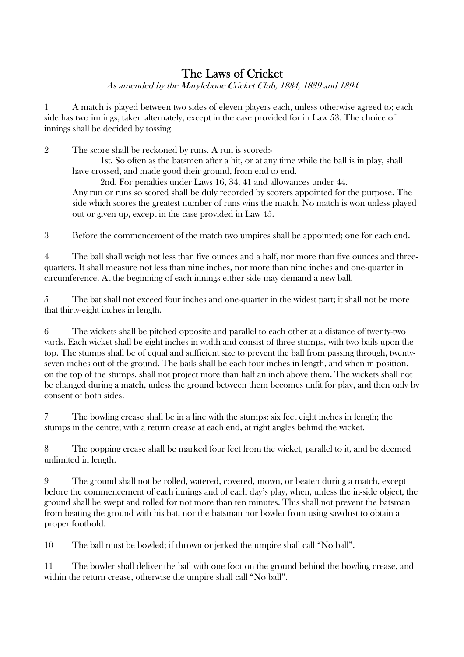## The Laws of Cricket

As amended by the Marylebone Cricket Club, 1884, 1889 and 1894

1 A match is played between two sides of eleven players each, unless otherwise agreed to; each side has two innings, taken alternately, except in the case provided for in Law 53. The choice of innings shall be decided by tossing.

2 The score shall be reckoned by runs. A run is scored:-

 1st. So often as the batsmen after a hit, or at any time while the ball is in play, shall have crossed, and made good their ground, from end to end.

 2nd. For penalties under Laws 16, 34, 41 and allowances under 44. Any run or runs so scored shall be duly recorded by scorers appointed for the purpose. The side which scores the greatest number of runs wins the match. No match is won unless played out or given up, except in the case provided in Law 45.

3 Before the commencement of the match two umpires shall be appointed; one for each end.

4 The ball shall weigh not less than five ounces and a half, nor more than five ounces and threequarters. It shall measure not less than nine inches, nor more than nine inches and one-quarter in circumference. At the beginning of each innings either side may demand a new ball.

5 The bat shall not exceed four inches and one-quarter in the widest part; it shall not be more that thirty-eight inches in length.

6 The wickets shall be pitched opposite and parallel to each other at a distance of twenty-two yards. Each wicket shall be eight inches in width and consist of three stumps, with two bails upon the top. The stumps shall be of equal and sufficient size to prevent the ball from passing through, twentyseven inches out of the ground. The bails shall be each four inches in length, and when in position, on the top of the stumps, shall not project more than half an inch above them. The wickets shall not be changed during a match, unless the ground between them becomes unfit for play, and then only by consent of both sides.

7 The bowling crease shall be in a line with the stumps: six feet eight inches in length; the stumps in the centre; with a return crease at each end, at right angles behind the wicket.

8 The popping crease shall be marked four feet from the wicket, parallel to it, and be deemed unlimited in length.

9 The ground shall not be rolled, watered, covered, mown, or beaten during a match, except before the commencement of each innings and of each day's play, when, unless the in-side object, the ground shall be swept and rolled for not more than ten minutes. This shall not prevent the batsman from beating the ground with his bat, nor the batsman nor bowler from using sawdust to obtain a proper foothold.

10 The ball must be bowled; if thrown or jerked the umpire shall call "No ball".

11 The bowler shall deliver the ball with one foot on the ground behind the bowling crease, and within the return crease, otherwise the umpire shall call "No ball".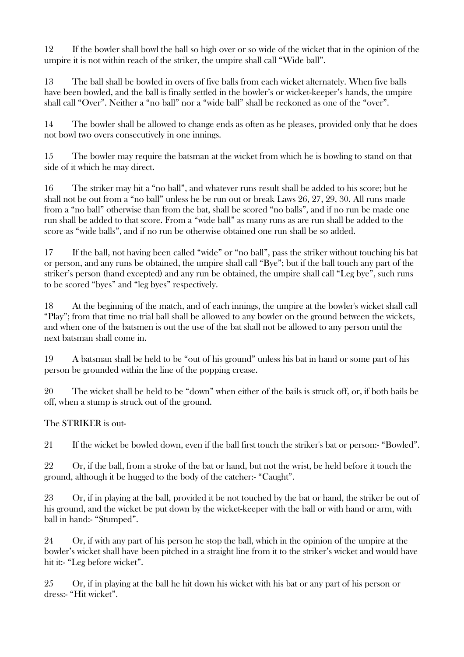12 If the bowler shall bowl the ball so high over or so wide of the wicket that in the opinion of the umpire it is not within reach of the striker, the umpire shall call "Wide ball".

13 The ball shall be bowled in overs of five balls from each wicket alternately. When five balls have been bowled, and the ball is finally settled in the bowler's or wicket-keeper's hands, the umpire shall call "Over". Neither a "no ball" nor a "wide ball" shall be reckoned as one of the "over".

14 The bowler shall be allowed to change ends as often as he pleases, provided only that he does not bowl two overs consecutively in one innings.

15 The bowler may require the batsman at the wicket from which he is bowling to stand on that side of it which he may direct.

16 The striker may hit a "no ball", and whatever runs result shall be added to his score; but he shall not be out from a "no ball" unless he be run out or break Laws 26, 27, 29, 30. All runs made from a "no ball" otherwise than from the bat, shall be scored "no balls", and if no run be made one run shall be added to that score. From a "wide ball" as many runs as are run shall be added to the score as "wide balls", and if no run be otherwise obtained one run shall be so added.

17 If the ball, not having been called "wide" or "no ball", pass the striker without touching his bat or person, and any runs be obtained, the umpire shall call "Bye"; but if the ball touch any part of the striker's person (hand excepted) and any run be obtained, the umpire shall call "Leg bye", such runs to be scored "byes" and "leg byes" respectively.

18 At the beginning of the match, and of each innings, the umpire at the bowler's wicket shall call "Play"; from that time no trial ball shall be allowed to any bowler on the ground between the wickets, and when one of the batsmen is out the use of the bat shall not be allowed to any person until the next batsman shall come in.

19 A batsman shall be held to be "out of his ground" unless his bat in hand or some part of his person be grounded within the line of the popping crease.

20 The wicket shall be held to be "down" when either of the bails is struck off, or, if both bails be off, when a stump is struck out of the ground.

The STRIKER is out-

21 If the wicket be bowled down, even if the ball first touch the striker's bat or person:- "Bowled".

22 Or, if the ball, from a stroke of the bat or hand, but not the wrist, be held before it touch the ground, although it be hugged to the body of the catcher:- "Caught".

23 Or, if in playing at the ball, provided it be not touched by the bat or hand, the striker be out of his ground, and the wicket be put down by the wicket-keeper with the ball or with hand or arm, with ball in hand:- "Stumped".

24 Or, if with any part of his person he stop the ball, which in the opinion of the umpire at the bowler's wicket shall have been pitched in a straight line from it to the striker's wicket and would have hit it:- "Leg before wicket".

25 Or, if in playing at the ball he hit down his wicket with his bat or any part of his person or dress:- "Hit wicket".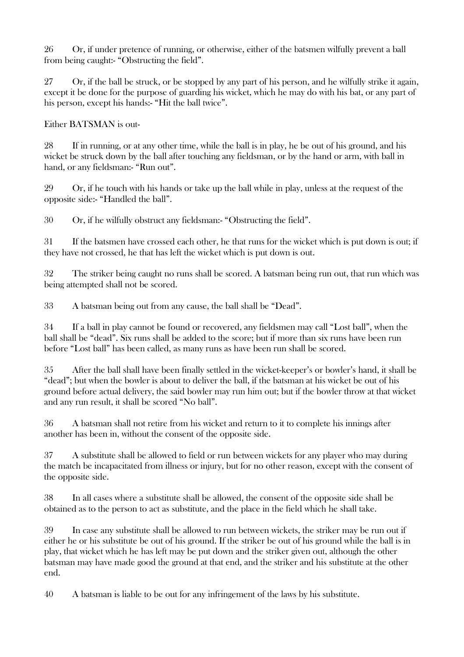26 Or, if under pretence of running, or otherwise, either of the batsmen wilfully prevent a ball from being caught:- "Obstructing the field".

27 Or, if the ball be struck, or be stopped by any part of his person, and he wilfully strike it again, except it be done for the purpose of guarding his wicket, which he may do with his bat, or any part of his person, except his hands:- "Hit the ball twice".

Either BATSMAN is out-

28 If in running, or at any other time, while the ball is in play, he be out of his ground, and his wicket be struck down by the ball after touching any fieldsman, or by the hand or arm, with ball in hand, or any fieldsman:- "Run out".

29 Or, if he touch with his hands or take up the ball while in play, unless at the request of the opposite side:- "Handled the ball".

30 Or, if he wilfully obstruct any fieldsman:- "Obstructing the field".

31 If the batsmen have crossed each other, he that runs for the wicket which is put down is out; if they have not crossed, he that has left the wicket which is put down is out.

32 The striker being caught no runs shall be scored. A batsman being run out, that run which was being attempted shall not be scored.

33 A batsman being out from any cause, the ball shall be "Dead".

34 If a ball in play cannot be found or recovered, any fieldsmen may call "Lost ball", when the ball shall be "dead". Six runs shall be added to the score; but if more than six runs have been run before "Lost ball" has been called, as many runs as have been run shall be scored.

35 After the ball shall have been finally settled in the wicket-keeper's or bowler's hand, it shall be "dead"; but when the bowler is about to deliver the ball, if the batsman at his wicket be out of his ground before actual delivery, the said bowler may run him out; but if the bowler throw at that wicket and any run result, it shall be scored "No ball".

36 A batsman shall not retire from his wicket and return to it to complete his innings after another has been in, without the consent of the opposite side.

37 A substitute shall be allowed to field or run between wickets for any player who may during the match be incapacitated from illness or injury, but for no other reason, except with the consent of the opposite side.

38 In all cases where a substitute shall be allowed, the consent of the opposite side shall be obtained as to the person to act as substitute, and the place in the field which he shall take.

39 In case any substitute shall be allowed to run between wickets, the striker may be run out if either he or his substitute be out of his ground. If the striker be out of his ground while the ball is in play, that wicket which he has left may be put down and the striker given out, although the other batsman may have made good the ground at that end, and the striker and his substitute at the other end.

40 A batsman is liable to be out for any infringement of the laws by his substitute.